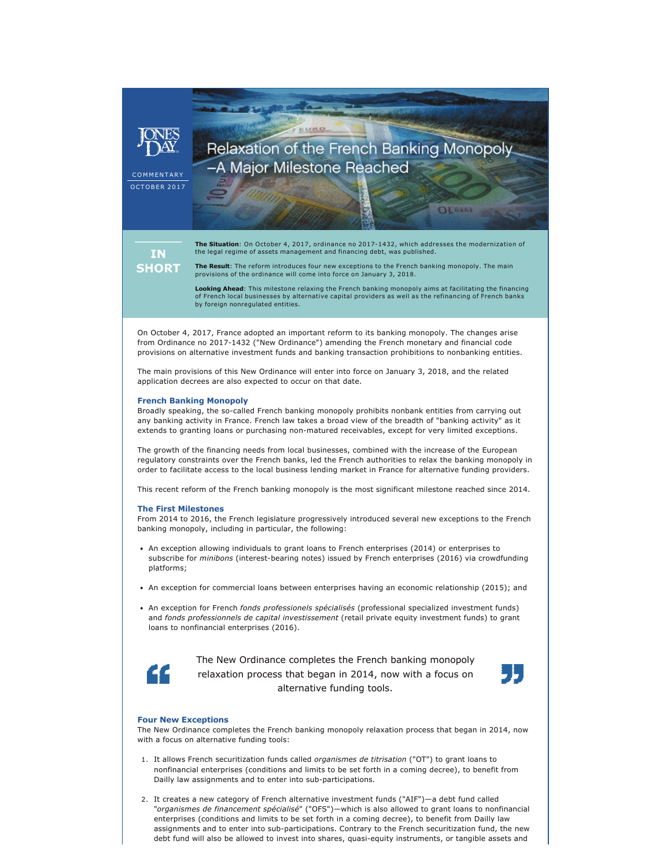## EURO Relaxation of the French Banking Monopoly -A Major Milestone Reached

**OLSHA** 

COMMENTAR<sup>'</sup> **OCTOBER 2017** 

> **The Situation**: On October 4, 2017, ordinance no 2017-1432, which addresses the modernization of the legal regime of assets management and financing debt, was published.

**IN SHORT** 

**The Result**: The reform introduces four new exceptions to the French banking monopoly. The main

provisions of the ordinance will come into force on January 3, 2018.

**Looking Ahead**: This milestone relaxing the French banking monopoly aims at facilitating the financing of French local businesses by alternative capital providers as well as the refinancing of French banks by foreign nonregulated entities.

On October 4, 2017, France adopted an important reform to its banking monopoly. The changes arise from Ordinance no 2017-1432 ("New Ordinance") amending the French monetary and financial code provisions on alternative investment funds and banking transaction prohibitions to nonbanking entities.

The main provisions of this New Ordinance will enter into force on January 3, 2018, and the related application decrees are also expected to occur on that date.

## **French Banking Monopoly**

Broadly speaking, the so-called French banking monopoly prohibits nonbank entities from carrying out any banking activity in France. French law takes a broad view of the breadth of "banking activity" as it extends to granting loans or purchasing non-matured receivables, except for very limited exceptions.

The growth of the financing needs from local businesses, combined with the increase of the European regulatory constraints over the French banks, led the French authorities to relax the banking monopoly in order to facilitate access to the local business lending market in France for alternative funding providers.

This recent reform of the French banking monopoly is the most significant milestone reached since 2014.

## **The First Milestones**

From 2014 to 2016, the French legislature progressively introduced several new exceptions to the French banking monopoly, including in particular, the following:

- An exception allowing individuals to grant loans to French enterprises (2014) or enterprises to subscribe for *minibons* (interest-bearing notes) issued by French enterprises (2016) via crowdfunding platforms;
- An exception for commercial loans between enterprises having an economic relationship (2015); and
- An exception for French *fonds professionels spécialisés* (professional specialized investment funds) and *fonds professionnels de capital investissement* (retail private equity investment funds) to grant loans to nonfinancial enterprises (2016).



The New Ordinance completes the French banking monopoly relaxation process that began in 2014, now with a focus on alternative funding tools.



#### **Four New Exceptions**

The New Ordinance completes the French banking monopoly relaxation process that began in 2014, now with a focus on alternative funding tools:

- 1. It allows French securitization funds called *organismes de titrisation* ("OT") to grant loans to nonfinancial enterprises (conditions and limits to be set forth in a coming decree), to benefit from Dailly law assignments and to enter into sub-participations.
- 2. It creates a new category of French alternative investment funds ("AIF")—a debt fund called "*organismes de financement spécialisé*" ("OFS")—which is also allowed to grant loans to nonfinancial enterprises (conditions and limits to be set forth in a coming decree), to benefit from Dailly law assignments and to enter into sub-participations. Contrary to the French securitization fund, the new debt fund will also be allowed to invest into shares, quasi-equity instruments, or tangible assets and